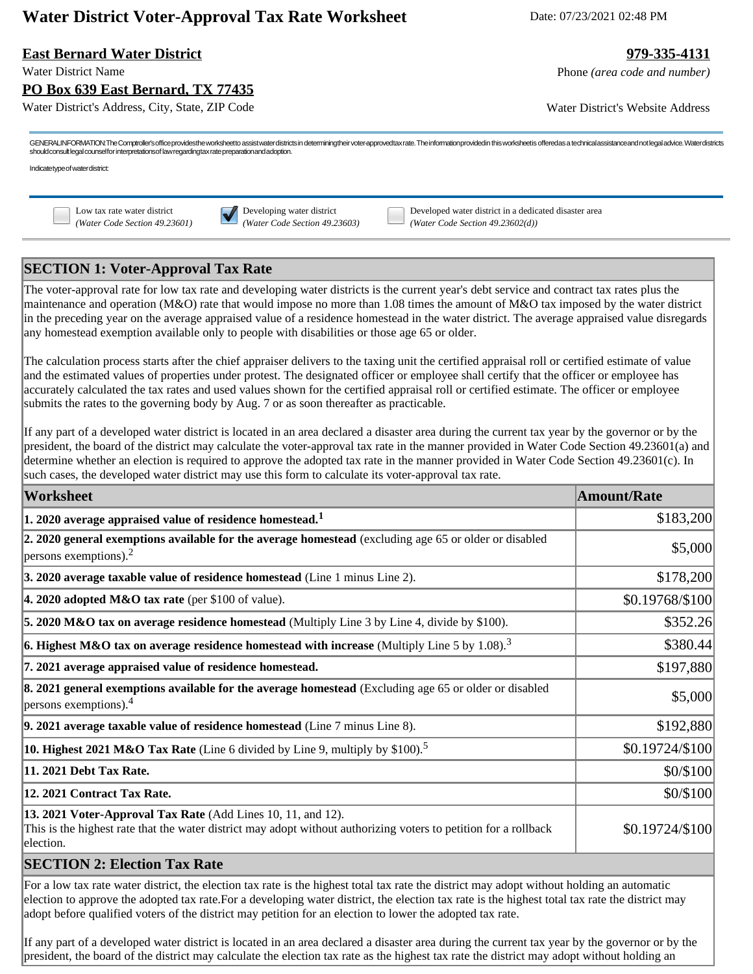# **Water District Voter-Approval Tax Rate Worksheet** Date: 07/23/2021 02:48 PM

### **East Bernard Water District 979-335-4131**

Water District Name **Phone** *(area code and number)* Phone *(area code and number)* 

Water District's Address, City, State, ZIP Code Water District's Website Address

GENERALINFORMATION:The Comptroller's office provides the worksheet to assist water districts in determiningtheir voter approvedtax rate. The information provided in this worksheet is offered as a technical assistance and n should consult legal counsel for interpretations of law regarding tax rate preparation and adoption.

Indicate type of water district:

**PO Box 639 East Bernard, TX 77435**

Low tax rate water district **Developing water district** Developed water district in a dedicated disaster area *(Water Code Section 49.23601) (Water Code Section 49.23603) (Water Code Section 49.23602(d))*

## **SECTION 1: Voter-Approval Tax Rate**

The voter-approval rate for low tax rate and developing water districts is the current year's debt service and contract tax rates plus the maintenance and operation (M&O) rate that would impose no more than 1.08 times the amount of M&O tax imposed by the water district in the preceding year on the average appraised value of a residence homestead in the water district. The average appraised value disregards any homestead exemption available only to people with disabilities or those age 65 or older.

The calculation process starts after the chief appraiser delivers to the taxing unit the certified appraisal roll or certified estimate of value and the estimated values of properties under protest. The designated officer or employee shall certify that the officer or employee has accurately calculated the tax rates and used values shown for the certified appraisal roll or certified estimate. The officer or employee submits the rates to the governing body by Aug. 7 or as soon thereafter as practicable.

If any part of a developed water district is located in an area declared a disaster area during the current tax year by the governor or by the president, the board of the district may calculate the voter-approval tax rate in the manner provided in Water Code Section 49.23601(a) and determine whether an election is required to approve the adopted tax rate in the manner provided in Water Code Section 49.23601(c). In such cases, the developed water district may use this form to calculate its voter-approval tax rate.

| Worksheet                                                                                                                                                                                     | <b>Amount/Rate</b> |
|-----------------------------------------------------------------------------------------------------------------------------------------------------------------------------------------------|--------------------|
| $ 1.2020$ average appraised value of residence homestead. <sup>1</sup>                                                                                                                        | \$183,200          |
| 2. 2020 general exemptions available for the average homestead (excluding age 65 or older or disabled<br>$ $ persons exemptions). <sup>2</sup>                                                | \$5,000            |
| 3. 2020 average taxable value of residence homestead (Line 1 minus Line 2).                                                                                                                   | \$178,200          |
| 4. 2020 adopted M&O tax rate (per \$100 of value).                                                                                                                                            | \$0.19768/\$100    |
| 5. 2020 M&O tax on average residence homestead (Multiply Line 3 by Line 4, divide by \$100).                                                                                                  | \$352.26           |
| 6. Highest M&O tax on average residence homestead with increase (Multiply Line 5 by 1.08). <sup>3</sup>                                                                                       | \$380.44           |
| 7. 2021 average appraised value of residence homestead.                                                                                                                                       | \$197,880          |
| 8. 2021 general exemptions available for the average homestead (Excluding age 65 or older or disabled<br>$ $ persons exemptions). <sup>4</sup>                                                | \$5,000            |
| $\vert$ 9. 2021 average taxable value of residence homestead (Line $\bar{7}$ minus Line 8).                                                                                                   | \$192,880          |
| <b>10. Highest 2021 M&amp;O Tax Rate</b> (Line 6 divided by Line 9, multiply by \$100). <sup>5</sup>                                                                                          | \$0.19724/\$100    |
| 11. 2021 Debt Tax Rate.                                                                                                                                                                       | \$0/\$100          |
| 12. 2021 Contract Tax Rate.                                                                                                                                                                   | \$0/\$100          |
| 13. 2021 Voter-Approval Tax Rate (Add Lines 10, 11, and 12).<br>This is the highest rate that the water district may adopt without authorizing voters to petition for a rollback<br>election. | \$0.19724/\$100    |
| $\mathsf{C}\mathbf{\Gamma}\mathsf{C}\mathbf{\Gamma}\mathsf{T}\mathsf{I}\mathsf{O}\mathsf{N}$ ). Flastion $\mathbf{T}\mathsf{a}\mathsf{v}$ Data                                                |                    |

### **SECTION 2: Election Tax Rate**

For a low tax rate water district, the election tax rate is the highest total tax rate the district may adopt without holding an automatic election to approve the adopted tax rate.For a developing water district, the election tax rate is the highest total tax rate the district may adopt before qualified voters of the district may petition for an election to lower the adopted tax rate.

If any part of a developed water district is located in an area declared a disaster area during the current tax year by the governor or by the president, the board of the district may calculate the election tax rate as the highest tax rate the district may adopt without holding an